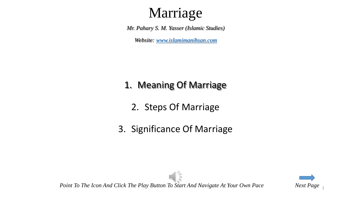# Marriage

*Mr. Pahary S. M. Yasser (Islamic Studies)*

*Website: [www.islamimanihsan.com](http://www.islamimanihsan.com/)*

### 1. Meaning Of Marriage

- 2. Steps Of Marriage
- 3. Significance Of Marriage



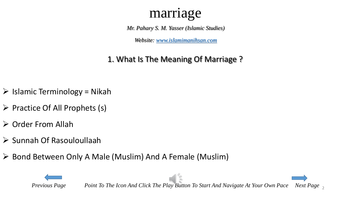*Mr. Pahary S. M. Yasser (Islamic Studies)*

*Website: [www.islamimanihsan.com](http://www.islamimanihsan.com/)*

### 1. What Is The Meaning Of Marriage ?

- <span id="page-1-0"></span> $\triangleright$  Islamic Terminology = Nikah
- $\triangleright$  Practice Of All Prophets (s)
- $\triangleright$  Order From Allah
- $\triangleright$  Sunnah Of Rasouloullaah
- Bond Between Only A Male (Muslim) And A Female (Muslim)

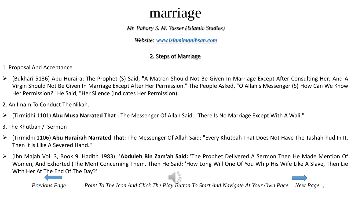*Mr. Pahary S. M. Yasser (Islamic Studies)*

*Website: [www.islamimanihsan.com](http://www.islamimanihsan.com/)*

#### 2. Steps of Marriage

- 1. Proposal And Acceptance.
- (Bukhari 5136) Abu Huraira: The Prophet (S) Said, "A Matron Should Not Be Given In Marriage Except After Consulting Her; And A Virgin Should Not Be Given In Marriage Except After Her Permission." The People Asked, "O Allah's Messenger (S) How Can We Know Her Permission?" He Said, "Her Silence (Indicates Her Permission).
- 2. An Imam To Conduct The Nikah.
- (Tirmidhi 1101) **Abu Musa Narrated That :** The Messenger Of Allah Said: "There Is No Marriage Except With A Wali."
- 3. The Khutbah / Sermon
- (Tirmidhi 1106) **Abu Hurairah Narrated That:** The Messenger Of Allah Said: "Every Khutbah That Does Not Have The Tashah-hud In It, Then It Is Like A Severed Hand."
- (Ibn Majah Vol. 3, Book 9, Hadith 1983) **'Abduleh Bin Zam'ah Said:** 'The Prophet Delivered A Sermon Then He Made Mention Of Women, And Exhorted (The Men) Concerning Them. Then He Said: 'How Long Will One Of You Whip His Wife Like A Slave, Then Lie With Her At [The](#page-1-0) End Of The Day?'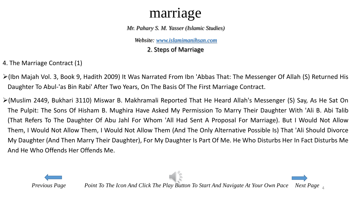*Mr. Pahary S. M. Yasser (Islamic Studies)*

*Website: [www.islamimanihsan.com](http://www.islamimanihsan.com/)*

2. Steps of Marriage

4. The Marriage Contract (1)

- (Ibn Majah Vol. 3, Book 9, Hadith 2009) It Was Narrated From Ibn 'Abbas That: The Messenger Of Allah (S) Returned His Daughter To Abul-'as Bin Rabi' After Two Years, On The Basis Of The First Marriage Contract.
- (Muslim 2449, Bukhari 3110) Miswar B. Makhramali Reported That He Heard Allah's Messenger (S) Say, As He Sat On The Pulpit: The Sons Of Hisham B. Mughira Have Asked My Permission To Marry Their Daughter With 'Ali B. Abi Talib (That Refers To The Daughter Of Abu Jahl For Whom 'All Had Sent A Proposal For Marriage). But I Would Not Allow Them, I Would Not Allow Them, I Would Not Allow Them (And The Only Alternative Possible Is) That 'Ali Should Divorce My Daughter (And Then Marry Their Daughter), For My Daughter Is Part Of Me. He Who Disturbs Her In Fact Disturbs Me And He Who Offends Her Offends Me.

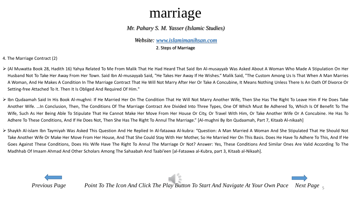#### *Mr. Pahary S. M. Yasser (Islamic Studies)*

*Website: [www.islamimanihsan.com](http://www.islamimanihsan.com/)*

2. Steps of Marriage

4. The Marriage Contract (2)

- (Al Muwatta Book 28, Hadith 16) Yahya Related To Me From Malik That He Had Heard That Said Ibn Al-musayyab Was Asked About A Woman Who Made A Stipulation On Her Husband Not To Take Her Away From Her Town. Said Ibn Al-musayyab Said, "He Takes Her Away If He Wishes." Malik Said, "The Custom Among Us Is That When A Man Marries A Woman, And He Makes A Condition In The Marriage Contract That He Will Not Marry After Her Or Take A Concubine, It Means Nothing Unless There Is An Oath Of Divorce Or Setting-free Attached To It. Then It Is Obliged And Required Of Him."
- Ibn Qudaamah Said In His Book Al-mughni: If He Married Her On The Condition That He Will Not Marry Another Wife, Then She Has The Right To Leave Him If He Does Take Another Wife. …In Conclusion, Then, The Conditions Of The Marriage Contract Are Divided Into Three Types, One Of Which Must Be Adhered To, Which Is Of Benefit To The Wife, Such As Her Being Able To Stipulate That He Cannot Make Her Move From Her House Or City, Or Travel With Him, Or Take Another Wife Or A Concubine. He Has To Adhere To These Conditions, And If He Does Not, Then She Has The Right To Annul The Marriage." [Al-mughni By Ibn Qudaamah, Part 7, Kitaab Al-nikaah]
- Shaykh Al-islam Ibn Taymiyah Was Asked This Question And He Replied In Al-fataawa Al-kubra: "Question: A Man Married A Woman And She Stipulated That He Should Not Take Another Wife Or Make Her Move From Her House, And That She Could Stay With Her Mother, So He Married Her On This Basis. Does He Have To Adhere To This, And If He Goes Against These Conditions, Does His Wife Have The Right To Annul The Marriage Or Not? Answer: Yes, These Conditions And Similar Ones Are Valid According To The Madhhab Of Imaam Ahmad And Other Scholars Among The Sahaabah And Taabi'een [al-Fataawa al-Kubra, part 3, Kitaab al-Nikaah].

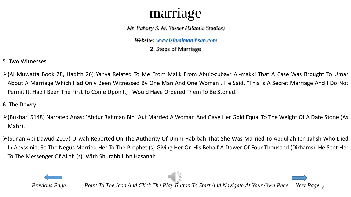*Mr. Pahary S. M. Yasser (Islamic Studies)*

*Website: [www.islamimanihsan.com](http://www.islamimanihsan.com/)*

2. Steps of Marriage

- 5. Two Witnesses
- (Al Muwatta Book 28, Hadith 26) Yahya Related To Me From Malik From Abu'z-zubayr Al-makki That A Case Was Brought To Umar About A Marriage Which Had Only Been Witnessed By One Man And One Woman . He Said, "This Is A Secret Marriage And I Do Not Permit It. Had I Been The First To Come Upon It, I Would Have Ordered Them To Be Stoned."
- 6. The Dowry
- (Bukhari 5148) Narrated Anas: `Abdur Rahman Bin `Auf Married A Woman And Gave Her Gold Equal To The Weight Of A Date Stone (As Mahr).
- (Sunan Abi Dawud 2107) Urwah Reported On The Authority Of Umm Habibah That She Was Married To Abdullah Ibn Jahsh Who Died In Abyssinia, So The Negus Married Her To The Prophet (s) Giving Her On His Behalf A Dower Of Four Thousand (Dirhams). He Sent Her To The Messenger Of Allah (s) With Shurahbil Ibn Hasanah

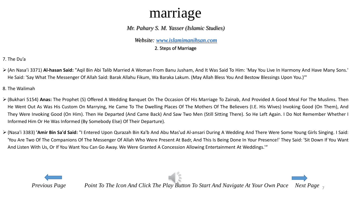#### *Mr. Pahary S. M. Yasser (Islamic Studies)*

*Website: [www.islamimanihsan.com](http://www.islamimanihsan.com/)*

2. Steps of Marriage

7. The Du'a

 (An Nasa'i 3371) **Al-hasan Said:** "Aqil Bin Abi Talib Married A Woman From Banu Jusham, And It Was Said To Him: 'May You Live In Harmony And Have Many Sons.' He Said: 'Say What The Messenger Of Allah Said: Barak Allahu Fikum, Wa Baraka Lakum. (May Allah Bless You And Bestow Blessings Upon You.)'"

8. The Walimah

- (Bukhari 5154) **Anas:** The Prophet (S) Offered A Wedding Banquet On The Occasion Of His Marriage To Zainab, And Provided A Good Meal For The Muslims. Then He Went Out As Was His Custom On Marrying, He Came To The Dwelling Places Of The Mothers Of The Believers (I.E. His Wives) Invoking Good (On Them), And They Were Invoking Good (On Him). Then He Departed (And Came Back) And Saw Two Men (Still Sitting There). So He Left Again. I Do Not Remember Whether I Informed Him Or He Was Informed (By Somebody Else) Of Their Departure).
- (Nasa'i 3383) **'Amir Bin Sa'd Said:** "I Entered Upon Qurazah Bin Ka'b And Abu Mas'ud Al-ansari During A Wedding And There Were Some Young Girls Singing. I Said: 'You Are Two Of The Companions Of The Messenger Of Allah Who Were Present At Badr, And This Is Being Done In Your Presence!' They Said: 'Sit Down If You Want And Listen With Us, Or If You Want You Can Go Away. We Were Granted A Concession Allowing Entertainment At Weddings.'"

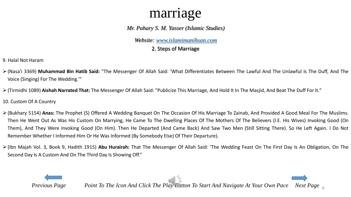#### *Mr. Pahary S. M. Yasser (Islamic Studies)*

*Website: [www.islamimanihsan.com](http://www.islamimanihsan.com/)*

2. Steps of Marriage

9. Halal Not Haram

- (Nasa'i 3369) **Muhammad Bin Hatib Said:** "The Messenger Of Allah Said: 'What Differentiates Between The Lawful And The Unlawful Is The Duff, And The Voice (Singing) For The Wedding.'"
- (Tirmidhi 1089) **Aishah Narrated That:** The Messenger Of Allah Said: "Publicize This Marriage, And Hold It In The Masjid, And Beat The Duff For It."

10. Custom Of A Country

- (Bukhary 5154) **Anas:** The Prophet (S) Offered A Wedding Banquet On The Occasion Of His Marriage To Zainab, And Provided A Good Meal For The Muslims. Then He Went Out As Was His Custom On Marrying, He Came To The Dwelling Places Of The Mothers Of The Believers (I.E. His Wives) Invoking Good (On Them), And They Were Invoking Good (On Him). Then He Departed (And Came Back) And Saw Two Men (Still Sitting There). So He Left Again. I Do Not Remember Whether I Informed Him Or He Was Informed (By Somebody Else) Of Their Departure).
- (Ibn Majah Vol. 3, Book 9, Hadith 1915) **Abu Hurairah:** That The Messenger Of Allah Said: 'The Wedding Feast On The First Day Is An Obligation, On The Second Day Is A Custom And On The Third Day Is Showing Off."